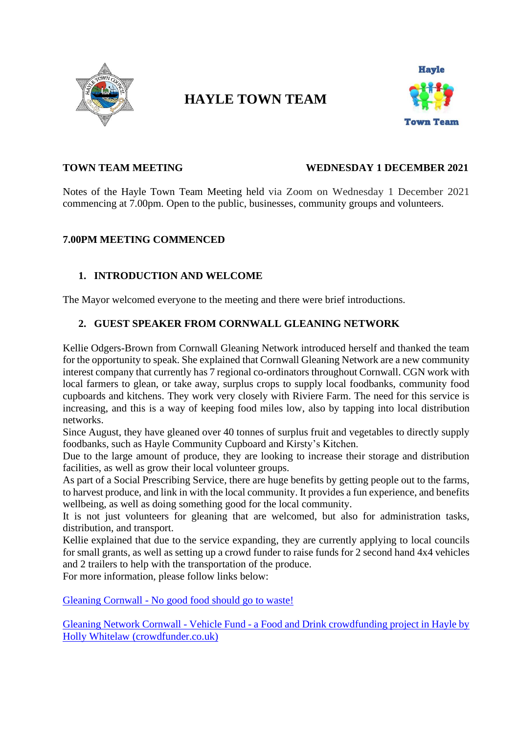

# **HAYLE TOWN TEAM**



#### **TOWN TEAM MEETING WEDNESDAY 1 DECEMBER 2021**

Notes of the Hayle Town Team Meeting held via Zoom on Wednesday 1 December 2021 commencing at 7.00pm. Open to the public, businesses, community groups and volunteers.

# **7.00PM MEETING COMMENCED**

# **1. INTRODUCTION AND WELCOME**

The Mayor welcomed everyone to the meeting and there were brief introductions.

#### **2. GUEST SPEAKER FROM CORNWALL GLEANING NETWORK**

Kellie Odgers-Brown from Cornwall Gleaning Network introduced herself and thanked the team for the opportunity to speak. She explained that Cornwall Gleaning Network are a new community interest company that currently has 7 regional co-ordinators throughout Cornwall. CGN work with local farmers to glean, or take away, surplus crops to supply local foodbanks, community food cupboards and kitchens. They work very closely with Riviere Farm. The need for this service is increasing, and this is a way of keeping food miles low, also by tapping into local distribution networks.

Since August, they have gleaned over 40 tonnes of surplus fruit and vegetables to directly supply foodbanks, such as Hayle Community Cupboard and Kirsty's Kitchen.

Due to the large amount of produce, they are looking to increase their storage and distribution facilities, as well as grow their local volunteer groups.

As part of a Social Prescribing Service, there are huge benefits by getting people out to the farms, to harvest produce, and link in with the local community. It provides a fun experience, and benefits wellbeing, as well as doing something good for the local community.

It is not just volunteers for gleaning that are welcomed, but also for administration tasks, distribution, and transport.

Kellie explained that due to the service expanding, they are currently applying to local councils for small grants, as well as setting up a crowd funder to raise funds for 2 second hand 4x4 vehicles and 2 trailers to help with the transportation of the produce.

For more information, please follow links below:

Gleaning Cornwall - [No good food should go to waste!](https://gleaningcornwall.org.uk/)

Gleaning Network Cornwall - Vehicle Fund - [a Food and Drink crowdfunding project in Hayle by](https://www.crowdfunder.co.uk/cornwall-gleaning-network-vehicle-fund)  [Holly Whitelaw \(crowdfunder.co.uk\)](https://www.crowdfunder.co.uk/cornwall-gleaning-network-vehicle-fund)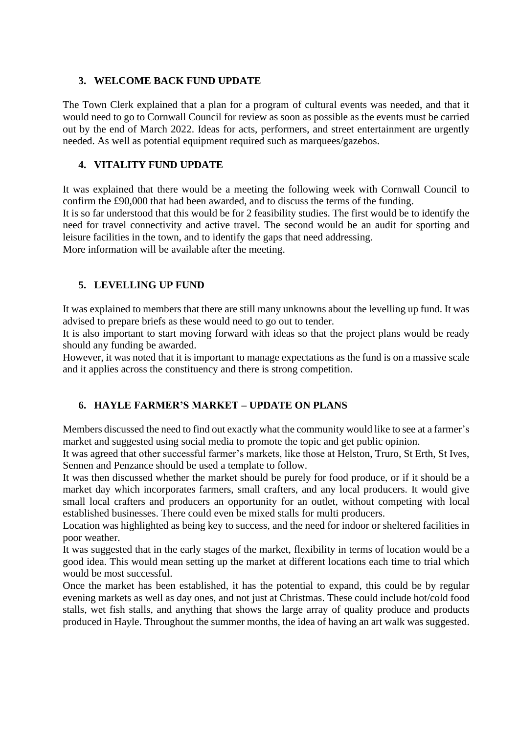#### **3. WELCOME BACK FUND UPDATE**

The Town Clerk explained that a plan for a program of cultural events was needed, and that it would need to go to Cornwall Council for review as soon as possible as the events must be carried out by the end of March 2022. Ideas for acts, performers, and street entertainment are urgently needed. As well as potential equipment required such as marquees/gazebos.

# **4. VITALITY FUND UPDATE**

It was explained that there would be a meeting the following week with Cornwall Council to confirm the £90,000 that had been awarded, and to discuss the terms of the funding.

It is so far understood that this would be for 2 feasibility studies. The first would be to identify the need for travel connectivity and active travel. The second would be an audit for sporting and leisure facilities in the town, and to identify the gaps that need addressing.

More information will be available after the meeting.

# **5. LEVELLING UP FUND**

It was explained to members that there are still many unknowns about the levelling up fund. It was advised to prepare briefs as these would need to go out to tender.

It is also important to start moving forward with ideas so that the project plans would be ready should any funding be awarded.

However, it was noted that it is important to manage expectations as the fund is on a massive scale and it applies across the constituency and there is strong competition.

# **6. HAYLE FARMER'S MARKET – UPDATE ON PLANS**

Members discussed the need to find out exactly what the community would like to see at a farmer's market and suggested using social media to promote the topic and get public opinion.

It was agreed that other successful farmer's markets, like those at Helston, Truro, St Erth, St Ives, Sennen and Penzance should be used a template to follow.

It was then discussed whether the market should be purely for food produce, or if it should be a market day which incorporates farmers, small crafters, and any local producers. It would give small local crafters and producers an opportunity for an outlet, without competing with local established businesses. There could even be mixed stalls for multi producers.

Location was highlighted as being key to success, and the need for indoor or sheltered facilities in poor weather.

It was suggested that in the early stages of the market, flexibility in terms of location would be a good idea. This would mean setting up the market at different locations each time to trial which would be most successful.

Once the market has been established, it has the potential to expand, this could be by regular evening markets as well as day ones, and not just at Christmas. These could include hot/cold food stalls, wet fish stalls, and anything that shows the large array of quality produce and products produced in Hayle. Throughout the summer months, the idea of having an art walk was suggested.